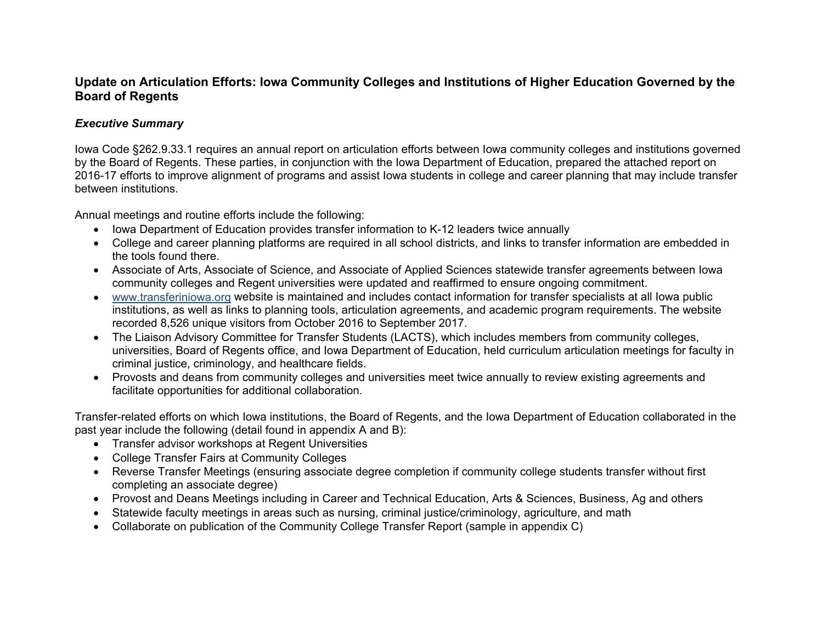### **Update on Articulation Efforts: Iowa Community Colleges and Institutions of Higher Education Governed by the Board of Regents**

#### *Executive Summary*

Iowa Code §262.9.33.1 requires an annual report on articulation efforts between Iowa community colleges and institutions governed by the Board of Regents. These parties, in conjunction with the Iowa Department of Education, prepared the attached report on 2016-17 efforts to improve alignment of programs and assist Iowa students in college and career planning that may include transfer between institutions.

Annual meetings and routine efforts include the following:

- Iowa Department of Education provides transfer information to K-12 leaders twice annually
- College and career planning platforms are required in all school districts, and links to transfer information are embedded in the tools found there.
- Associate of Arts, Associate of Science, and Associate of Applied Sciences statewide transfer agreements between Iowa community colleges and Regent universities were updated and reaffirmed to ensure ongoing commitment.
- [www.transferiniowa.org](http://www.transferiniowa.org/) website is maintained and includes contact information for transfer specialists at all Iowa public institutions, as well as links to planning tools, articulation agreements, and academic program requirements. The website recorded 8,526 unique visitors from October 2016 to September 2017.
- The Liaison Advisory Committee for Transfer Students (LACTS), which includes members from community colleges, universities, Board of Regents office, and Iowa Department of Education, held curriculum articulation meetings for faculty in criminal justice, criminology, and healthcare fields.
- Provosts and deans from community colleges and universities meet twice annually to review existing agreements and facilitate opportunities for additional collaboration.

Transfer-related efforts on which Iowa institutions, the Board of Regents, and the Iowa Department of Education collaborated in the past year include the following (detail found in appendix A and B):

- Transfer advisor workshops at Regent Universities
- College Transfer Fairs at Community Colleges
- Reverse Transfer Meetings (ensuring associate degree completion if community college students transfer without first completing an associate degree)
- Provost and Deans Meetings including in Career and Technical Education, Arts & Sciences, Business, Ag and others
- Statewide faculty meetings in areas such as nursing, criminal justice/criminology, agriculture, and math
- Collaborate on publication of the Community College Transfer Report (sample in appendix C)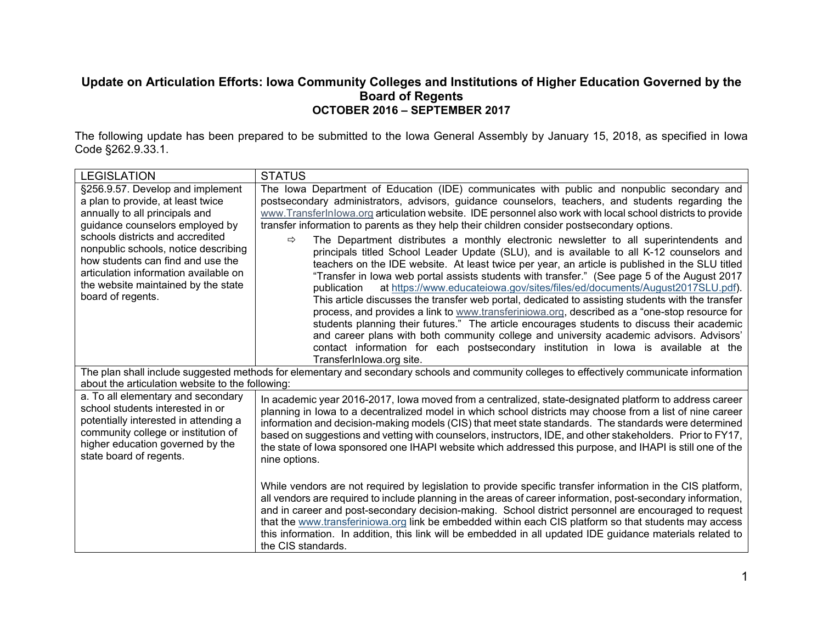#### **Update on Articulation Efforts: Iowa Community Colleges and Institutions of Higher Education Governed by the Board of Regents OCTOBER 2016 – SEPTEMBER 2017**

The following update has been prepared to be submitted to the Iowa General Assembly by January 15, 2018, as specified in Iowa Code §262.9.33.1.

| <b>LEGISLATION</b>                                                                                                                                                                                                                                                                                                                                               | <b>STATUS</b>                                                                                                                                                                                                                                                                                                                                                                                                                                                                                                                                                                                                                                                                                                                                                                                                                                                                                                                                                                                                                                                                                                                                                                                                               |  |  |  |  |  |  |
|------------------------------------------------------------------------------------------------------------------------------------------------------------------------------------------------------------------------------------------------------------------------------------------------------------------------------------------------------------------|-----------------------------------------------------------------------------------------------------------------------------------------------------------------------------------------------------------------------------------------------------------------------------------------------------------------------------------------------------------------------------------------------------------------------------------------------------------------------------------------------------------------------------------------------------------------------------------------------------------------------------------------------------------------------------------------------------------------------------------------------------------------------------------------------------------------------------------------------------------------------------------------------------------------------------------------------------------------------------------------------------------------------------------------------------------------------------------------------------------------------------------------------------------------------------------------------------------------------------|--|--|--|--|--|--|
| §256.9.57. Develop and implement<br>a plan to provide, at least twice<br>annually to all principals and<br>guidance counselors employed by<br>schools districts and accredited<br>nonpublic schools, notice describing<br>how students can find and use the<br>articulation information available on<br>the website maintained by the state<br>board of regents. | The Iowa Department of Education (IDE) communicates with public and nonpublic secondary and<br>postsecondary administrators, advisors, guidance counselors, teachers, and students regarding the<br>www.TransferInlowa.org articulation website. IDE personnel also work with local school districts to provide<br>transfer information to parents as they help their children consider postsecondary options.<br>The Department distributes a monthly electronic newsletter to all superintendents and<br>$\Rightarrow$<br>principals titled School Leader Update (SLU), and is available to all K-12 counselors and<br>teachers on the IDE website. At least twice per year, an article is published in the SLU titled<br>"Transfer in lowa web portal assists students with transfer." (See page 5 of the August 2017<br>at https://www.educateiowa.gov/sites/files/ed/documents/August2017SLU.pdf).<br>publication<br>This article discusses the transfer web portal, dedicated to assisting students with the transfer<br>process, and provides a link to www.transferiniowa.org, described as a "one-stop resource for<br>students planning their futures." The article encourages students to discuss their academic |  |  |  |  |  |  |
|                                                                                                                                                                                                                                                                                                                                                                  | and career plans with both community college and university academic advisors. Advisors'<br>contact information for each postsecondary institution in lowa is available at the<br>TransferInlowa.org site.<br>The plan shall include suggested methods for elementary and secondary schools and community colleges to effectively communicate information                                                                                                                                                                                                                                                                                                                                                                                                                                                                                                                                                                                                                                                                                                                                                                                                                                                                   |  |  |  |  |  |  |
| about the articulation website to the following:                                                                                                                                                                                                                                                                                                                 |                                                                                                                                                                                                                                                                                                                                                                                                                                                                                                                                                                                                                                                                                                                                                                                                                                                                                                                                                                                                                                                                                                                                                                                                                             |  |  |  |  |  |  |
| a. To all elementary and secondary<br>school students interested in or<br>potentially interested in attending a<br>community college or institution of<br>higher education governed by the<br>state board of regents.                                                                                                                                            | In academic year 2016-2017, lowa moved from a centralized, state-designated platform to address career<br>planning in lowa to a decentralized model in which school districts may choose from a list of nine career<br>information and decision-making models (CIS) that meet state standards. The standards were determined<br>based on suggestions and vetting with counselors, instructors, IDE, and other stakeholders. Prior to FY17,<br>the state of lowa sponsored one IHAPI website which addressed this purpose, and IHAPI is still one of the<br>nine options.                                                                                                                                                                                                                                                                                                                                                                                                                                                                                                                                                                                                                                                    |  |  |  |  |  |  |
|                                                                                                                                                                                                                                                                                                                                                                  | While vendors are not required by legislation to provide specific transfer information in the CIS platform,<br>all vendors are required to include planning in the areas of career information, post-secondary information,<br>and in career and post-secondary decision-making. School district personnel are encouraged to request<br>that the www.transferiniowa.org link be embedded within each CIS platform so that students may access<br>this information. In addition, this link will be embedded in all updated IDE guidance materials related to<br>the CIS standards.                                                                                                                                                                                                                                                                                                                                                                                                                                                                                                                                                                                                                                           |  |  |  |  |  |  |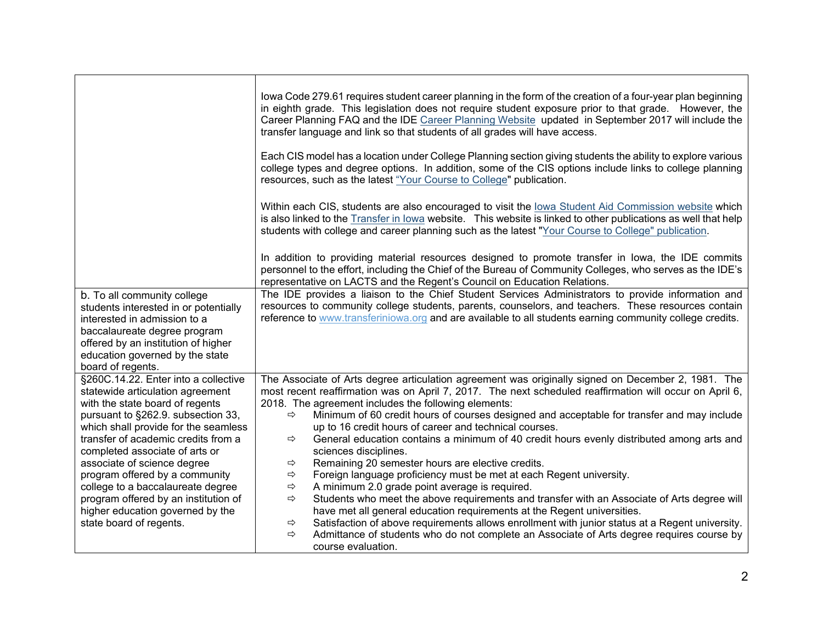| b. To all community college<br>students interested in or potentially                                                                                                                                                                                                                                                                                                                                                                                                            | lowa Code 279.61 requires student career planning in the form of the creation of a four-year plan beginning<br>in eighth grade. This legislation does not require student exposure prior to that grade. However, the<br>Career Planning FAQ and the IDE Career Planning Website updated in September 2017 will include the<br>transfer language and link so that students of all grades will have access.<br>Each CIS model has a location under College Planning section giving students the ability to explore various<br>college types and degree options. In addition, some of the CIS options include links to college planning<br>resources, such as the latest "Your Course to College" publication.<br>Within each CIS, students are also encouraged to visit the lowa Student Aid Commission website which<br>is also linked to the Transfer in lowa website. This website is linked to other publications as well that help<br>students with college and career planning such as the latest "Your Course to College" publication.<br>In addition to providing material resources designed to promote transfer in lowa, the IDE commits<br>personnel to the effort, including the Chief of the Bureau of Community Colleges, who serves as the IDE's<br>representative on LACTS and the Regent's Council on Education Relations.<br>The IDE provides a liaison to the Chief Student Services Administrators to provide information and<br>resources to community college students, parents, counselors, and teachers. These resources contain |
|---------------------------------------------------------------------------------------------------------------------------------------------------------------------------------------------------------------------------------------------------------------------------------------------------------------------------------------------------------------------------------------------------------------------------------------------------------------------------------|--------------------------------------------------------------------------------------------------------------------------------------------------------------------------------------------------------------------------------------------------------------------------------------------------------------------------------------------------------------------------------------------------------------------------------------------------------------------------------------------------------------------------------------------------------------------------------------------------------------------------------------------------------------------------------------------------------------------------------------------------------------------------------------------------------------------------------------------------------------------------------------------------------------------------------------------------------------------------------------------------------------------------------------------------------------------------------------------------------------------------------------------------------------------------------------------------------------------------------------------------------------------------------------------------------------------------------------------------------------------------------------------------------------------------------------------------------------------------------------------------------------------------------------------------------|
| interested in admission to a<br>baccalaureate degree program<br>offered by an institution of higher<br>education governed by the state<br>board of regents.                                                                                                                                                                                                                                                                                                                     | reference to www.transferiniowa.org and are available to all students earning community college credits.                                                                                                                                                                                                                                                                                                                                                                                                                                                                                                                                                                                                                                                                                                                                                                                                                                                                                                                                                                                                                                                                                                                                                                                                                                                                                                                                                                                                                                               |
| §260C.14.22. Enter into a collective<br>statewide articulation agreement<br>with the state board of regents<br>pursuant to §262.9. subsection 33,<br>which shall provide for the seamless<br>transfer of academic credits from a<br>completed associate of arts or<br>associate of science degree<br>program offered by a community<br>college to a baccalaureate degree<br>program offered by an institution of<br>higher education governed by the<br>state board of regents. | The Associate of Arts degree articulation agreement was originally signed on December 2, 1981. The<br>most recent reaffirmation was on April 7, 2017. The next scheduled reaffirmation will occur on April 6,<br>2018. The agreement includes the following elements:<br>Minimum of 60 credit hours of courses designed and acceptable for transfer and may include<br>⇨<br>up to 16 credit hours of career and technical courses.<br>General education contains a minimum of 40 credit hours evenly distributed among arts and<br>$\Rightarrow$<br>sciences disciplines.<br>Remaining 20 semester hours are elective credits.<br>$\Rightarrow$<br>Foreign language proficiency must be met at each Regent university.<br>$\Rightarrow$<br>A minimum 2.0 grade point average is required.<br>⇨<br>Students who meet the above requirements and transfer with an Associate of Arts degree will<br>$\Rightarrow$<br>have met all general education requirements at the Regent universities.<br>Satisfaction of above requirements allows enrollment with junior status at a Regent university.<br>⇨<br>Admittance of students who do not complete an Associate of Arts degree requires course by<br>$\Rightarrow$<br>course evaluation.                                                                                                                                                                                                                                                                                                                  |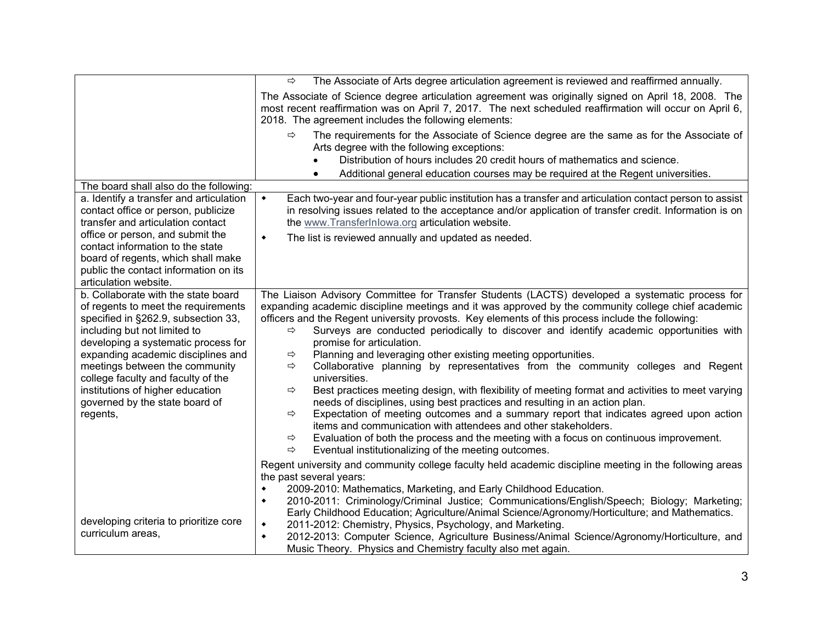|                                                                                                                                                                                          | ⇨<br>The Associate of Arts degree articulation agreement is reviewed and reaffirmed annually.                                                                                                                                                                                                                                                                                                                                                                                                                                                                                           |
|------------------------------------------------------------------------------------------------------------------------------------------------------------------------------------------|-----------------------------------------------------------------------------------------------------------------------------------------------------------------------------------------------------------------------------------------------------------------------------------------------------------------------------------------------------------------------------------------------------------------------------------------------------------------------------------------------------------------------------------------------------------------------------------------|
|                                                                                                                                                                                          | The Associate of Science degree articulation agreement was originally signed on April 18, 2008. The<br>most recent reaffirmation was on April 7, 2017. The next scheduled reaffirmation will occur on April 6,<br>2018. The agreement includes the following elements:                                                                                                                                                                                                                                                                                                                  |
|                                                                                                                                                                                          | The requirements for the Associate of Science degree are the same as for the Associate of<br>⇨<br>Arts degree with the following exceptions:<br>Distribution of hours includes 20 credit hours of mathematics and science.<br>Additional general education courses may be required at the Regent universities.                                                                                                                                                                                                                                                                          |
| The board shall also do the following:                                                                                                                                                   |                                                                                                                                                                                                                                                                                                                                                                                                                                                                                                                                                                                         |
| a. Identify a transfer and articulation<br>contact office or person, publicize<br>transfer and articulation contact<br>office or person, and submit the                                  | Each two-year and four-year public institution has a transfer and articulation contact person to assist<br>$\blacklozenge$<br>in resolving issues related to the acceptance and/or application of transfer credit. Information is on<br>the www.TransferInlowa.org articulation website.                                                                                                                                                                                                                                                                                                |
| contact information to the state<br>board of regents, which shall make<br>public the contact information on its<br>articulation website.                                                 | The list is reviewed annually and updated as needed.<br>$\blacklozenge$                                                                                                                                                                                                                                                                                                                                                                                                                                                                                                                 |
| b. Collaborate with the state board<br>of regents to meet the requirements<br>specified in §262.9, subsection 33,<br>including but not limited to<br>developing a systematic process for | The Liaison Advisory Committee for Transfer Students (LACTS) developed a systematic process for<br>expanding academic discipline meetings and it was approved by the community college chief academic<br>officers and the Regent university provosts. Key elements of this process include the following:<br>Surveys are conducted periodically to discover and identify academic opportunities with<br>⇨<br>promise for articulation.                                                                                                                                                  |
| expanding academic disciplines and<br>meetings between the community<br>college faculty and faculty of the                                                                               | Planning and leveraging other existing meeting opportunities.<br>⇨<br>Collaborative planning by representatives from the community colleges and Regent<br>$\Rightarrow$<br>universities.                                                                                                                                                                                                                                                                                                                                                                                                |
| institutions of higher education<br>governed by the state board of<br>regents,                                                                                                           | Best practices meeting design, with flexibility of meeting format and activities to meet varying<br>⇨<br>needs of disciplines, using best practices and resulting in an action plan.<br>Expectation of meeting outcomes and a summary report that indicates agreed upon action<br>$\Rightarrow$<br>items and communication with attendees and other stakeholders.<br>Evaluation of both the process and the meeting with a focus on continuous improvement.<br>⇨<br>Eventual institutionalizing of the meeting outcomes.<br>⇨                                                           |
| developing criteria to prioritize core<br>curriculum areas,                                                                                                                              | Regent university and community college faculty held academic discipline meeting in the following areas<br>the past several years:<br>2009-2010: Mathematics, Marketing, and Early Childhood Education.<br>۰<br>2010-2011: Criminology/Criminal Justice; Communications/English/Speech; Biology; Marketing;<br>٠<br>Early Childhood Education; Agriculture/Animal Science/Agronomy/Horticulture; and Mathematics.<br>2011-2012: Chemistry, Physics, Psychology, and Marketing.<br>٠<br>2012-2013: Computer Science, Agriculture Business/Animal Science/Agronomy/Horticulture, and<br>٠ |
|                                                                                                                                                                                          | Music Theory. Physics and Chemistry faculty also met again.                                                                                                                                                                                                                                                                                                                                                                                                                                                                                                                             |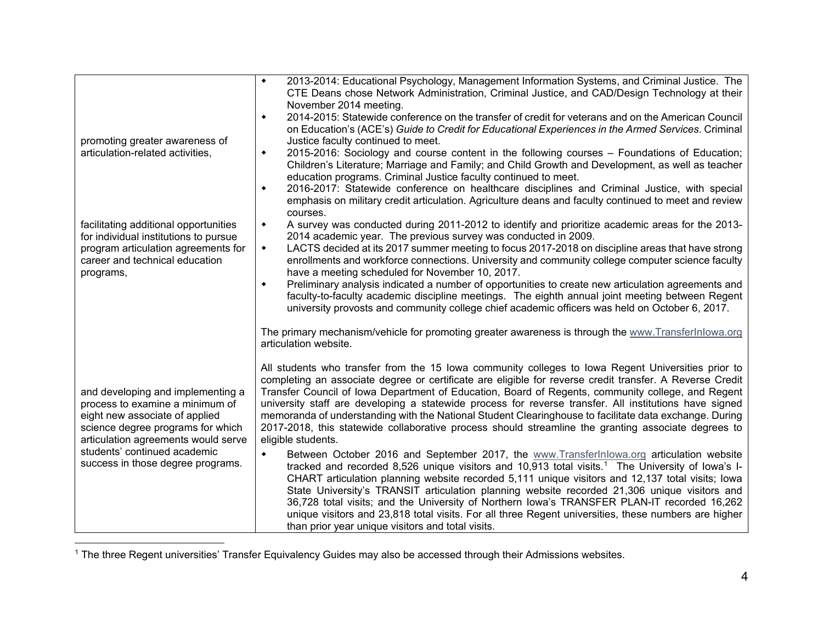<span id="page-4-0"></span>

|                                                                                                                                                                                                                                                         | 2013-2014: Educational Psychology, Management Information Systems, and Criminal Justice. The<br>$\blacklozenge$                                                                                                                                                                                                                                                                                                                                                                                                                                                                                                                                                                             |  |  |  |  |  |  |  |  |
|---------------------------------------------------------------------------------------------------------------------------------------------------------------------------------------------------------------------------------------------------------|---------------------------------------------------------------------------------------------------------------------------------------------------------------------------------------------------------------------------------------------------------------------------------------------------------------------------------------------------------------------------------------------------------------------------------------------------------------------------------------------------------------------------------------------------------------------------------------------------------------------------------------------------------------------------------------------|--|--|--|--|--|--|--|--|
|                                                                                                                                                                                                                                                         | CTE Deans chose Network Administration, Criminal Justice, and CAD/Design Technology at their<br>November 2014 meeting.                                                                                                                                                                                                                                                                                                                                                                                                                                                                                                                                                                      |  |  |  |  |  |  |  |  |
|                                                                                                                                                                                                                                                         | 2014-2015: Statewide conference on the transfer of credit for veterans and on the American Council<br>٠<br>on Education's (ACE's) Guide to Credit for Educational Experiences in the Armed Services. Criminal                                                                                                                                                                                                                                                                                                                                                                                                                                                                               |  |  |  |  |  |  |  |  |
| promoting greater awareness of                                                                                                                                                                                                                          | Justice faculty continued to meet.                                                                                                                                                                                                                                                                                                                                                                                                                                                                                                                                                                                                                                                          |  |  |  |  |  |  |  |  |
| articulation-related activities,                                                                                                                                                                                                                        | 2015-2016: Sociology and course content in the following courses – Foundations of Education;<br>$\blacklozenge$<br>Children's Literature; Marriage and Family; and Child Growth and Development, as well as teacher<br>education programs. Criminal Justice faculty continued to meet.                                                                                                                                                                                                                                                                                                                                                                                                      |  |  |  |  |  |  |  |  |
|                                                                                                                                                                                                                                                         | 2016-2017: Statewide conference on healthcare disciplines and Criminal Justice, with special<br>۰<br>emphasis on military credit articulation. Agriculture deans and faculty continued to meet and review<br>courses.                                                                                                                                                                                                                                                                                                                                                                                                                                                                       |  |  |  |  |  |  |  |  |
| facilitating additional opportunities<br>for individual institutions to pursue                                                                                                                                                                          | A survey was conducted during 2011-2012 to identify and prioritize academic areas for the 2013-<br>$\blacklozenge$<br>2014 academic year. The previous survey was conducted in 2009.                                                                                                                                                                                                                                                                                                                                                                                                                                                                                                        |  |  |  |  |  |  |  |  |
| program articulation agreements for<br>career and technical education<br>programs,                                                                                                                                                                      | LACTS decided at its 2017 summer meeting to focus 2017-2018 on discipline areas that have strong<br>$\blacklozenge$<br>enrollments and workforce connections. University and community college computer science faculty<br>have a meeting scheduled for November 10, 2017.                                                                                                                                                                                                                                                                                                                                                                                                                  |  |  |  |  |  |  |  |  |
|                                                                                                                                                                                                                                                         | Preliminary analysis indicated a number of opportunities to create new articulation agreements and<br>٠<br>faculty-to-faculty academic discipline meetings. The eighth annual joint meeting between Regent<br>university provosts and community college chief academic officers was held on October 6, 2017.                                                                                                                                                                                                                                                                                                                                                                                |  |  |  |  |  |  |  |  |
|                                                                                                                                                                                                                                                         | The primary mechanism/vehicle for promoting greater awareness is through the www.Transferlnlowa.org<br>articulation website.                                                                                                                                                                                                                                                                                                                                                                                                                                                                                                                                                                |  |  |  |  |  |  |  |  |
| and developing and implementing a<br>process to examine a minimum of<br>eight new associate of applied<br>science degree programs for which<br>articulation agreements would serve<br>students' continued academic<br>success in those degree programs. | All students who transfer from the 15 lowa community colleges to lowa Regent Universities prior to<br>completing an associate degree or certificate are eligible for reverse credit transfer. A Reverse Credit<br>Transfer Council of Iowa Department of Education, Board of Regents, community college, and Regent<br>university staff are developing a statewide process for reverse transfer. All institutions have signed<br>memoranda of understanding with the National Student Clearinghouse to facilitate data exchange. During<br>2017-2018, this statewide collaborative process should streamline the granting associate degrees to<br>eligible students.                        |  |  |  |  |  |  |  |  |
|                                                                                                                                                                                                                                                         | Between October 2016 and September 2017, the www.Transferlnlowa.org articulation website<br>$\blacklozenge$<br>tracked and recorded 8,526 unique visitors and 10,913 total visits. <sup>1</sup> The University of lowa's I-<br>CHART articulation planning website recorded 5,111 unique visitors and 12,137 total visits; lowa<br>State University's TRANSIT articulation planning website recorded 21,306 unique visitors and<br>36,728 total visits; and the University of Northern Iowa's TRANSFER PLAN-IT recorded 16,262<br>unique visitors and 23,818 total visits. For all three Regent universities, these numbers are higher<br>than prior year unique visitors and total visits. |  |  |  |  |  |  |  |  |

 <sup>1</sup> The three Regent universities' Transfer Equivalency Guides may also be accessed through their Admissions websites.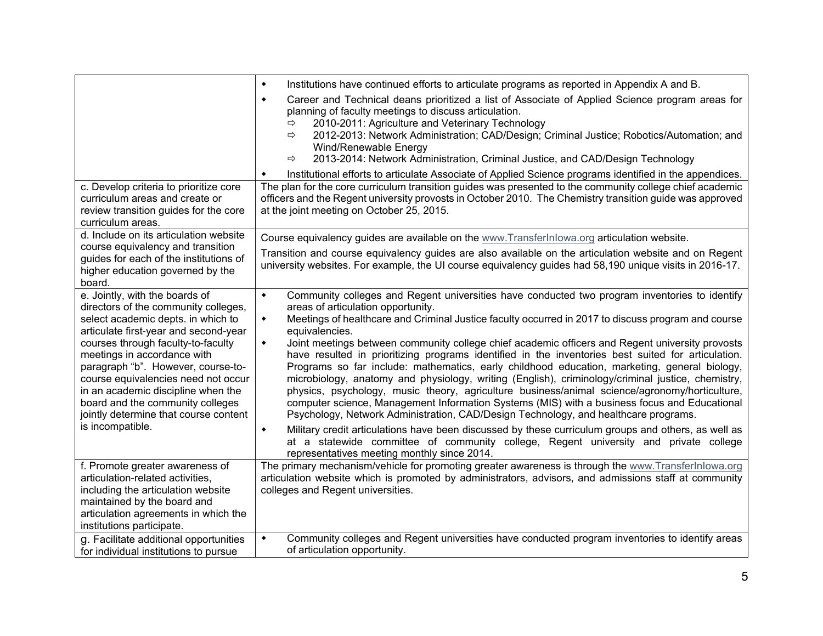|                                                                                                                                                                                                                                                                                                                                                                                                              | Institutions have continued efforts to articulate programs as reported in Appendix A and B.<br>$\blacklozenge$                                                                                                                                                                                                                                                                                                                                                                                                                                                                                  |  |  |  |  |  |  |  |  |
|--------------------------------------------------------------------------------------------------------------------------------------------------------------------------------------------------------------------------------------------------------------------------------------------------------------------------------------------------------------------------------------------------------------|-------------------------------------------------------------------------------------------------------------------------------------------------------------------------------------------------------------------------------------------------------------------------------------------------------------------------------------------------------------------------------------------------------------------------------------------------------------------------------------------------------------------------------------------------------------------------------------------------|--|--|--|--|--|--|--|--|
|                                                                                                                                                                                                                                                                                                                                                                                                              | Career and Technical deans prioritized a list of Associate of Applied Science program areas for<br>$\blacklozenge$<br>planning of faculty meetings to discuss articulation.<br>2010-2011: Agriculture and Veterinary Technology<br>$\Rightarrow$<br>2012-2013: Network Administration; CAD/Design; Criminal Justice; Robotics/Automation; and<br>$\Rightarrow$<br>Wind/Renewable Energy<br>2013-2014: Network Administration, Criminal Justice, and CAD/Design Technology<br>⇨                                                                                                                  |  |  |  |  |  |  |  |  |
| c. Develop criteria to prioritize core                                                                                                                                                                                                                                                                                                                                                                       | Institutional efforts to articulate Associate of Applied Science programs identified in the appendices.<br>٠<br>The plan for the core curriculum transition guides was presented to the community college chief academic                                                                                                                                                                                                                                                                                                                                                                        |  |  |  |  |  |  |  |  |
| curriculum areas and create or<br>review transition guides for the core<br>curriculum areas.                                                                                                                                                                                                                                                                                                                 | officers and the Regent university provosts in October 2010. The Chemistry transition guide was approved<br>at the joint meeting on October 25, 2015.                                                                                                                                                                                                                                                                                                                                                                                                                                           |  |  |  |  |  |  |  |  |
| d. Include on its articulation website                                                                                                                                                                                                                                                                                                                                                                       | Course equivalency guides are available on the www.TransferInlowa.org articulation website.                                                                                                                                                                                                                                                                                                                                                                                                                                                                                                     |  |  |  |  |  |  |  |  |
| course equivalency and transition<br>guides for each of the institutions of<br>higher education governed by the<br>board.                                                                                                                                                                                                                                                                                    | Transition and course equivalency guides are also available on the articulation website and on Regent<br>university websites. For example, the UI course equivalency guides had 58,190 unique visits in 2016-17.                                                                                                                                                                                                                                                                                                                                                                                |  |  |  |  |  |  |  |  |
| e. Jointly, with the boards of                                                                                                                                                                                                                                                                                                                                                                               | Community colleges and Regent universities have conducted two program inventories to identify<br>$\blacklozenge$                                                                                                                                                                                                                                                                                                                                                                                                                                                                                |  |  |  |  |  |  |  |  |
| directors of the community colleges,<br>select academic depts. in which to<br>articulate first-year and second-year<br>courses through faculty-to-faculty<br>meetings in accordance with<br>paragraph "b". However, course-to-<br>course equivalencies need not occur<br>in an academic discipline when the<br>board and the community colleges<br>jointly determine that course content<br>is incompatible. | areas of articulation opportunity.<br>Meetings of healthcare and Criminal Justice faculty occurred in 2017 to discuss program and course<br>$\blacklozenge$<br>equivalencies.<br>Joint meetings between community college chief academic officers and Regent university provosts<br>$\blacklozenge$                                                                                                                                                                                                                                                                                             |  |  |  |  |  |  |  |  |
|                                                                                                                                                                                                                                                                                                                                                                                                              | have resulted in prioritizing programs identified in the inventories best suited for articulation.<br>Programs so far include: mathematics, early childhood education, marketing, general biology,<br>microbiology, anatomy and physiology, writing (English), criminology/criminal justice, chemistry,<br>physics, psychology, music theory, agriculture business/animal science/agronomy/horticulture,<br>computer science, Management Information Systems (MIS) with a business focus and Educational<br>Psychology, Network Administration, CAD/Design Technology, and healthcare programs. |  |  |  |  |  |  |  |  |
|                                                                                                                                                                                                                                                                                                                                                                                                              | Military credit articulations have been discussed by these curriculum groups and others, as well as<br>$\blacklozenge$<br>at a statewide committee of community college, Regent university and private college<br>representatives meeting monthly since 2014.                                                                                                                                                                                                                                                                                                                                   |  |  |  |  |  |  |  |  |
| f. Promote greater awareness of<br>articulation-related activities,<br>including the articulation website<br>maintained by the board and<br>articulation agreements in which the<br>institutions participate.                                                                                                                                                                                                | The primary mechanism/vehicle for promoting greater awareness is through the www.TransferInlowa.org<br>articulation website which is promoted by administrators, advisors, and admissions staff at community<br>colleges and Regent universities.                                                                                                                                                                                                                                                                                                                                               |  |  |  |  |  |  |  |  |
| g. Facilitate additional opportunities<br>for individual institutions to pursue                                                                                                                                                                                                                                                                                                                              | Community colleges and Regent universities have conducted program inventories to identify areas<br>٠<br>of articulation opportunity.                                                                                                                                                                                                                                                                                                                                                                                                                                                            |  |  |  |  |  |  |  |  |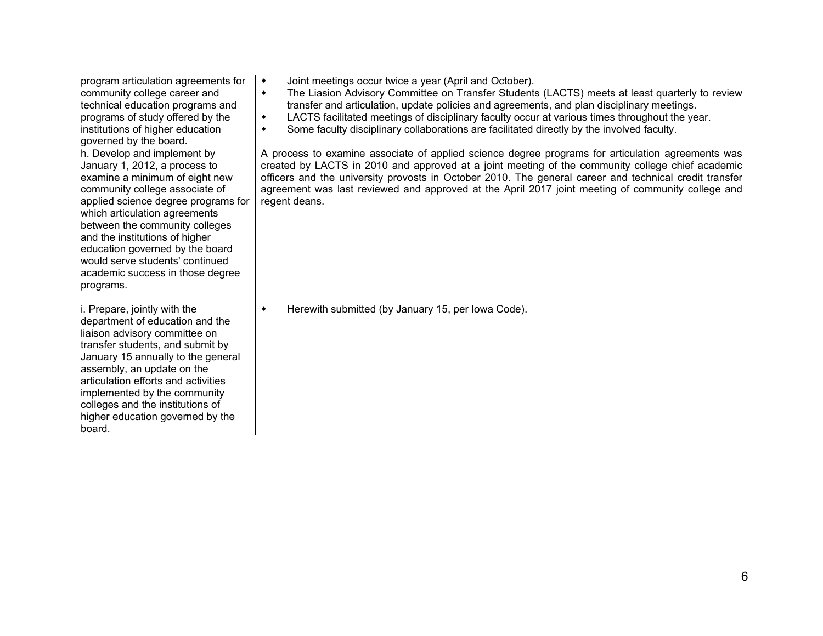| program articulation agreements for<br>community college career and<br>technical education programs and<br>programs of study offered by the<br>institutions of higher education<br>governed by the board.                                                                                                                                                                                           | Joint meetings occur twice a year (April and October).<br>$\blacklozenge$<br>The Liasion Advisory Committee on Transfer Students (LACTS) meets at least quarterly to review<br>۰<br>transfer and articulation, update policies and agreements, and plan disciplinary meetings.<br>LACTS facilitated meetings of disciplinary faculty occur at various times throughout the year.<br>٠<br>Some faculty disciplinary collaborations are facilitated directly by the involved faculty.<br>٠ |
|-----------------------------------------------------------------------------------------------------------------------------------------------------------------------------------------------------------------------------------------------------------------------------------------------------------------------------------------------------------------------------------------------------|------------------------------------------------------------------------------------------------------------------------------------------------------------------------------------------------------------------------------------------------------------------------------------------------------------------------------------------------------------------------------------------------------------------------------------------------------------------------------------------|
| h. Develop and implement by<br>January 1, 2012, a process to<br>examine a minimum of eight new<br>community college associate of<br>applied science degree programs for<br>which articulation agreements<br>between the community colleges<br>and the institutions of higher<br>education governed by the board<br>would serve students' continued<br>academic success in those degree<br>programs. | A process to examine associate of applied science degree programs for articulation agreements was<br>created by LACTS in 2010 and approved at a joint meeting of the community college chief academic<br>officers and the university provosts in October 2010. The general career and technical credit transfer<br>agreement was last reviewed and approved at the April 2017 joint meeting of community college and<br>regent deans.                                                    |
| i. Prepare, jointly with the<br>department of education and the<br>liaison advisory committee on<br>transfer students, and submit by<br>January 15 annually to the general<br>assembly, an update on the<br>articulation efforts and activities<br>implemented by the community<br>colleges and the institutions of<br>higher education governed by the<br>board.                                   | Herewith submitted (by January 15, per lowa Code).<br>$\blacklozenge$                                                                                                                                                                                                                                                                                                                                                                                                                    |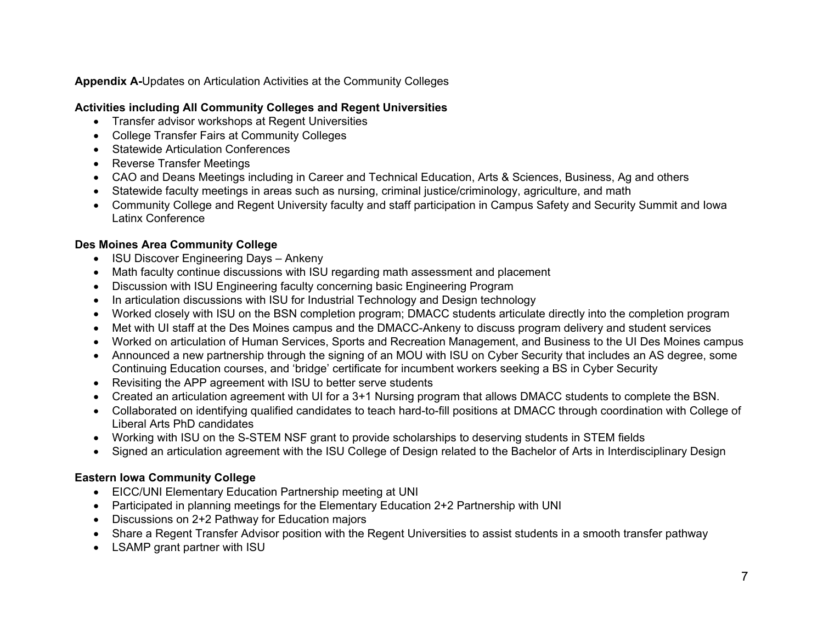#### **Appendix A-**Updates on Articulation Activities at the Community Colleges

## **Activities including All Community Colleges and Regent Universities**

- Transfer advisor workshops at Regent Universities
- College Transfer Fairs at Community Colleges
- Statewide Articulation Conferences
- Reverse Transfer Meetings
- CAO and Deans Meetings including in Career and Technical Education, Arts & Sciences, Business, Ag and others
- Statewide faculty meetings in areas such as nursing, criminal justice/criminology, agriculture, and math
- Community College and Regent University faculty and staff participation in Campus Safety and Security Summit and Iowa Latinx Conference

## **Des Moines Area Community College**

- ISU Discover Engineering Days Ankeny
- Math faculty continue discussions with ISU regarding math assessment and placement
- Discussion with ISU Engineering faculty concerning basic Engineering Program
- In articulation discussions with ISU for Industrial Technology and Design technology
- Worked closely with ISU on the BSN completion program; DMACC students articulate directly into the completion program
- Met with UI staff at the Des Moines campus and the DMACC-Ankeny to discuss program delivery and student services
- Worked on articulation of Human Services, Sports and Recreation Management, and Business to the UI Des Moines campus
- Announced a new partnership through the signing of an MOU with ISU on Cyber Security that includes an AS degree, some Continuing Education courses, and 'bridge' certificate for incumbent workers seeking a BS in Cyber Security
- Revisiting the APP agreement with ISU to better serve students
- Created an articulation agreement with UI for a 3+1 Nursing program that allows DMACC students to complete the BSN.
- Collaborated on identifying qualified candidates to teach hard-to-fill positions at DMACC through coordination with College of Liberal Arts PhD candidates
- Working with ISU on the S-STEM NSF grant to provide scholarships to deserving students in STEM fields
- Signed an articulation agreement with the ISU College of Design related to the Bachelor of Arts in Interdisciplinary Design

## **Eastern Iowa Community College**

- EICC/UNI Elementary Education Partnership meeting at UNI
- Participated in planning meetings for the Elementary Education 2+2 Partnership with UNI
- Discussions on 2+2 Pathway for Education majors
- Share a Regent Transfer Advisor position with the Regent Universities to assist students in a smooth transfer pathway
- LSAMP grant partner with ISU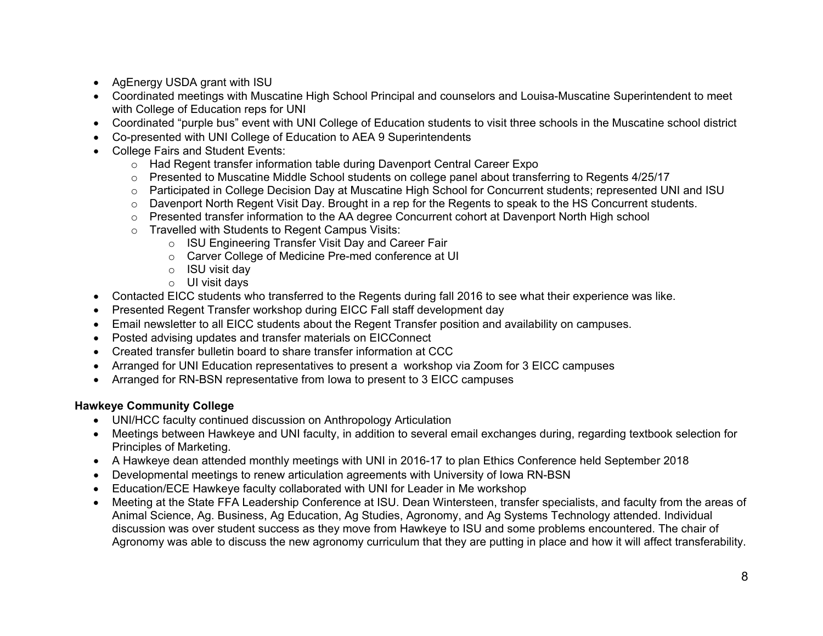- AgEnergy USDA grant with ISU
- Coordinated meetings with Muscatine High School Principal and counselors and Louisa-Muscatine Superintendent to meet with College of Education reps for UNI
- Coordinated "purple bus" event with UNI College of Education students to visit three schools in the Muscatine school district
- Co-presented with UNI College of Education to AEA 9 Superintendents
- College Fairs and Student Events:
	- o Had Regent transfer information table during Davenport Central Career Expo
	- o Presented to Muscatine Middle School students on college panel about transferring to Regents 4/25/17
	- o Participated in College Decision Day at Muscatine High School for Concurrent students; represented UNI and ISU
	- $\circ$  Davenport North Regent Visit Day. Brought in a rep for the Regents to speak to the HS Concurrent students.
	- $\circ$  Presented transfer information to the AA degree Concurrent cohort at Davenport North High school
	- o Travelled with Students to Regent Campus Visits:
		- o ISU Engineering Transfer Visit Day and Career Fair
		- o Carver College of Medicine Pre-med conference at UI
		- o ISU visit day
		- o UI visit days
- Contacted EICC students who transferred to the Regents during fall 2016 to see what their experience was like.
- Presented Regent Transfer workshop during EICC Fall staff development day
- Email newsletter to all EICC students about the Regent Transfer position and availability on campuses.
- Posted advising updates and transfer materials on EICConnect
- Created transfer bulletin board to share transfer information at CCC
- Arranged for UNI Education representatives to present a workshop via Zoom for 3 EICC campuses
- Arranged for RN-BSN representative from Iowa to present to 3 EICC campuses

#### **Hawkeye Community College**

- UNI/HCC faculty continued discussion on Anthropology Articulation
- Meetings between Hawkeye and UNI faculty, in addition to several email exchanges during, regarding textbook selection for Principles of Marketing.
- A Hawkeye dean attended monthly meetings with UNI in 2016-17 to plan Ethics Conference held September 2018
- Developmental meetings to renew articulation agreements with University of Iowa RN-BSN
- Education/ECE Hawkeye faculty collaborated with UNI for Leader in Me workshop
- Meeting at the State FFA Leadership Conference at ISU. Dean Wintersteen, transfer specialists, and faculty from the areas of Animal Science, Ag. Business, Ag Education, Ag Studies, Agronomy, and Ag Systems Technology attended. Individual discussion was over student success as they move from Hawkeye to ISU and some problems encountered. The chair of Agronomy was able to discuss the new agronomy curriculum that they are putting in place and how it will affect transferability.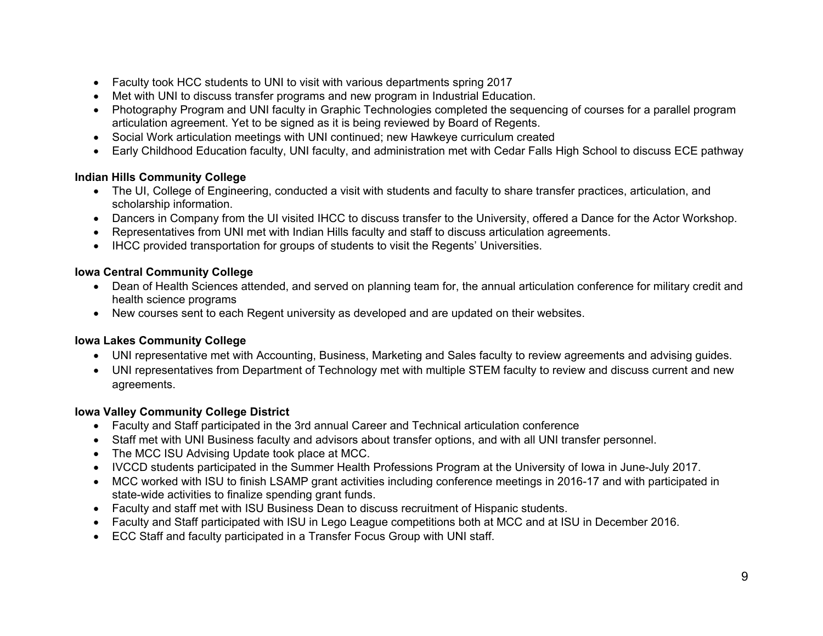- Faculty took HCC students to UNI to visit with various departments spring 2017
- Met with UNI to discuss transfer programs and new program in Industrial Education.
- Photography Program and UNI faculty in Graphic Technologies completed the sequencing of courses for a parallel program articulation agreement. Yet to be signed as it is being reviewed by Board of Regents.
- Social Work articulation meetings with UNI continued; new Hawkeye curriculum created
- Early Childhood Education faculty, UNI faculty, and administration met with Cedar Falls High School to discuss ECE pathway

### **Indian Hills Community College**

- The UI, College of Engineering, conducted a visit with students and faculty to share transfer practices, articulation, and scholarship information.
- Dancers in Company from the UI visited IHCC to discuss transfer to the University, offered a Dance for the Actor Workshop.
- Representatives from UNI met with Indian Hills faculty and staff to discuss articulation agreements.
- IHCC provided transportation for groups of students to visit the Regents' Universities.

### **Iowa Central Community College**

- Dean of Health Sciences attended, and served on planning team for, the annual articulation conference for military credit and health science programs
- New courses sent to each Regent university as developed and are updated on their websites.

## **Iowa Lakes Community College**

- UNI representative met with Accounting, Business, Marketing and Sales faculty to review agreements and advising guides.
- UNI representatives from Department of Technology met with multiple STEM faculty to review and discuss current and new agreements.

## **Iowa Valley Community College District**

- Faculty and Staff participated in the 3rd annual Career and Technical articulation conference
- Staff met with UNI Business faculty and advisors about transfer options, and with all UNI transfer personnel.
- The MCC ISU Advising Update took place at MCC.
- IVCCD students participated in the Summer Health Professions Program at the University of Iowa in June-July 2017.
- MCC worked with ISU to finish LSAMP grant activities including conference meetings in 2016-17 and with participated in state-wide activities to finalize spending grant funds.
- Faculty and staff met with ISU Business Dean to discuss recruitment of Hispanic students.
- Faculty and Staff participated with ISU in Lego League competitions both at MCC and at ISU in December 2016.
- ECC Staff and faculty participated in a Transfer Focus Group with UNI staff.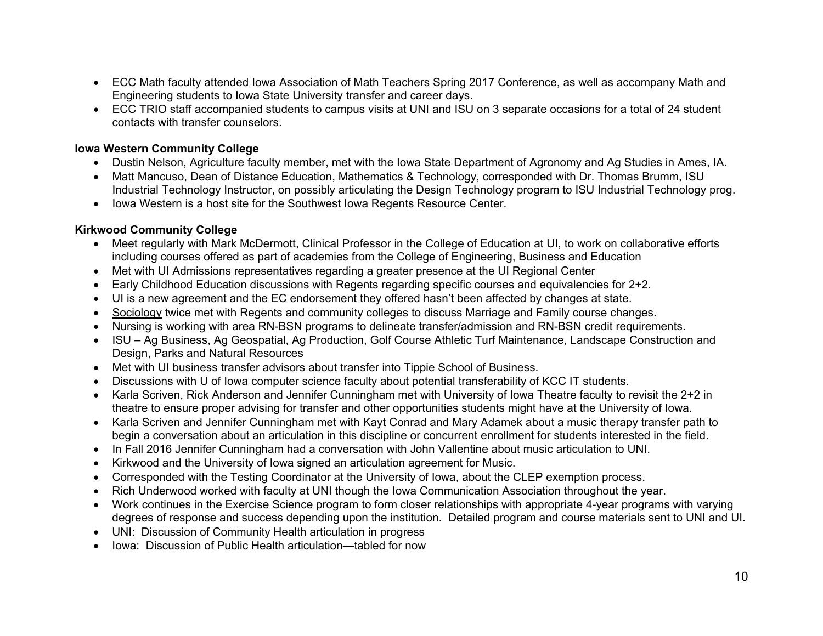- ECC Math faculty attended Iowa Association of Math Teachers Spring 2017 Conference, as well as accompany Math and Engineering students to Iowa State University transfer and career days.
- ECC TRIO staff accompanied students to campus visits at UNI and ISU on 3 separate occasions for a total of 24 student contacts with transfer counselors.

#### **Iowa Western Community College**

- Dustin Nelson, Agriculture faculty member, met with the Iowa State Department of Agronomy and Ag Studies in Ames, IA.
- Matt Mancuso, Dean of Distance Education, Mathematics & Technology, corresponded with Dr. Thomas Brumm, ISU Industrial Technology Instructor, on possibly articulating the Design Technology program to ISU Industrial Technology prog.
- Iowa Western is a host site for the Southwest Iowa Regents Resource Center.

#### **Kirkwood Community College**

- Meet regularly with Mark McDermott, Clinical Professor in the College of Education at UI, to work on collaborative efforts including courses offered as part of academies from the College of Engineering, Business and Education
- Met with UI Admissions representatives regarding a greater presence at the UI Regional Center
- Early Childhood Education discussions with Regents regarding specific courses and equivalencies for 2+2.
- UI is a new agreement and the EC endorsement they offered hasn't been affected by changes at state.
- Sociology twice met with Regents and community colleges to discuss Marriage and Family course changes.
- Nursing is working with area RN-BSN programs to delineate transfer/admission and RN-BSN credit requirements.
- ISU Ag Business, Ag Geospatial, Ag Production, Golf Course Athletic Turf Maintenance, Landscape Construction and Design, Parks and Natural Resources
- Met with UI business transfer advisors about transfer into Tippie School of Business.
- Discussions with U of Iowa computer science faculty about potential transferability of KCC IT students.
- Karla Scriven, Rick Anderson and Jennifer Cunningham met with University of Iowa Theatre faculty to revisit the 2+2 in theatre to ensure proper advising for transfer and other opportunities students might have at the University of Iowa.
- Karla Scriven and Jennifer Cunningham met with Kayt Conrad and Mary Adamek about a music therapy transfer path to begin a conversation about an articulation in this discipline or concurrent enrollment for students interested in the field.
- In Fall 2016 Jennifer Cunningham had a conversation with John Vallentine about music articulation to UNI.
- Kirkwood and the University of Iowa signed an articulation agreement for Music.
- Corresponded with the Testing Coordinator at the University of Iowa, about the CLEP exemption process.
- Rich Underwood worked with faculty at UNI though the Iowa Communication Association throughout the year.
- Work continues in the Exercise Science program to form closer relationships with appropriate 4-year programs with varying degrees of response and success depending upon the institution. Detailed program and course materials sent to UNI and UI.
- UNI: Discussion of Community Health articulation in progress
- Iowa: Discussion of Public Health articulation—tabled for now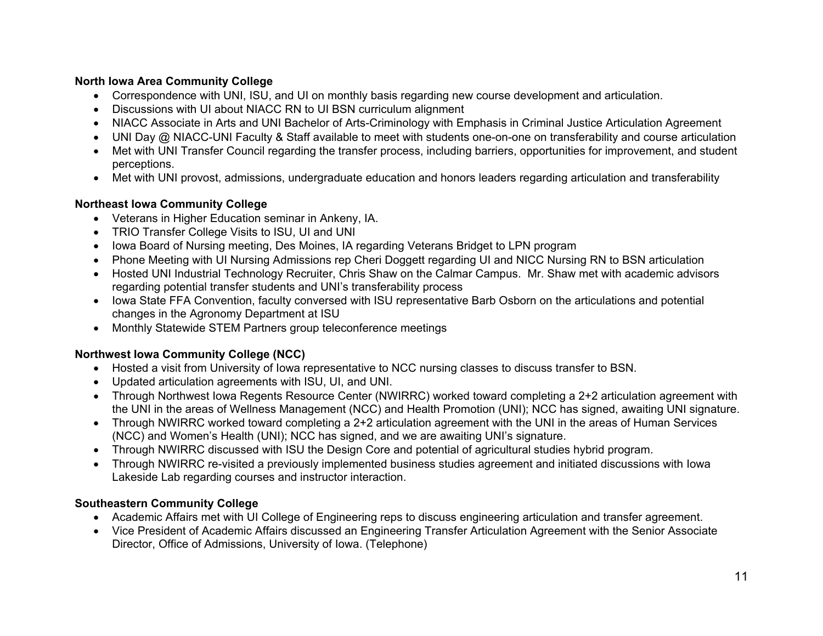### **North Iowa Area Community College**

- Correspondence with UNI, ISU, and UI on monthly basis regarding new course development and articulation.
- Discussions with UI about NIACC RN to UI BSN curriculum alignment
- NIACC Associate in Arts and UNI Bachelor of Arts-Criminology with Emphasis in Criminal Justice Articulation Agreement
- UNI Day @ NIACC-UNI Faculty & Staff available to meet with students one-on-one on transferability and course articulation
- Met with UNI Transfer Council regarding the transfer process, including barriers, opportunities for improvement, and student perceptions.
- Met with UNI provost, admissions, undergraduate education and honors leaders regarding articulation and transferability

### **Northeast Iowa Community College**

- Veterans in Higher Education seminar in Ankeny, IA.
- TRIO Transfer College Visits to ISU, UI and UNI
- Iowa Board of Nursing meeting, Des Moines, IA regarding Veterans Bridget to LPN program
- Phone Meeting with UI Nursing Admissions rep Cheri Doggett regarding UI and NICC Nursing RN to BSN articulation
- Hosted UNI Industrial Technology Recruiter, Chris Shaw on the Calmar Campus. Mr. Shaw met with academic advisors regarding potential transfer students and UNI's transferability process
- Iowa State FFA Convention, faculty conversed with ISU representative Barb Osborn on the articulations and potential changes in the Agronomy Department at ISU
- Monthly Statewide STEM Partners group teleconference meetings

# **Northwest Iowa Community College (NCC)**

- Hosted a visit from University of Iowa representative to NCC nursing classes to discuss transfer to BSN.
- Updated articulation agreements with ISU, UI, and UNI.
- Through Northwest Iowa Regents Resource Center (NWIRRC) worked toward completing a 2+2 articulation agreement with the UNI in the areas of Wellness Management (NCC) and Health Promotion (UNI); NCC has signed, awaiting UNI signature.
- Through NWIRRC worked toward completing a 2+2 articulation agreement with the UNI in the areas of Human Services (NCC) and Women's Health (UNI); NCC has signed, and we are awaiting UNI's signature.
- Through NWIRRC discussed with ISU the Design Core and potential of agricultural studies hybrid program.
- Through NWIRRC re-visited a previously implemented business studies agreement and initiated discussions with Iowa Lakeside Lab regarding courses and instructor interaction.

# **Southeastern Community College**

- Academic Affairs met with UI College of Engineering reps to discuss engineering articulation and transfer agreement.
- Vice President of Academic Affairs discussed an Engineering Transfer Articulation Agreement with the Senior Associate Director, Office of Admissions, University of Iowa. (Telephone)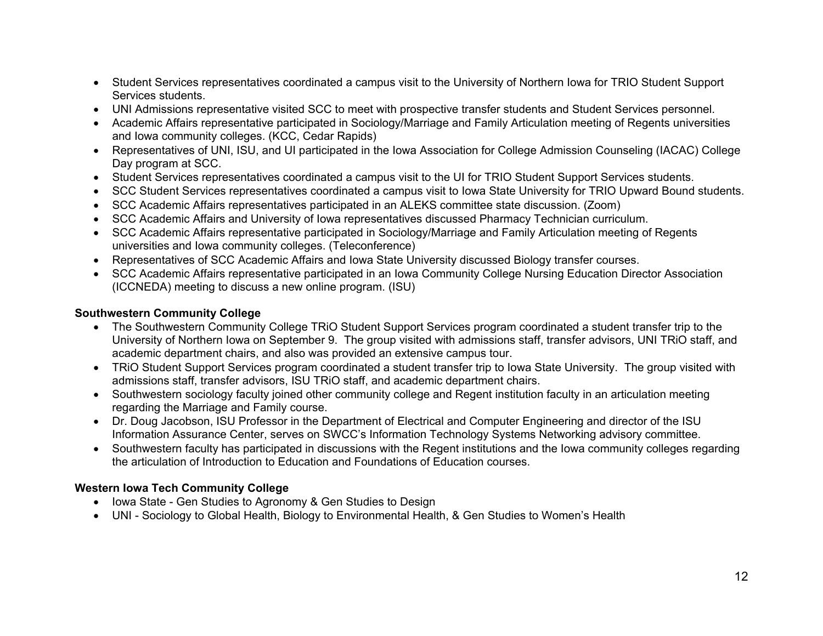- Student Services representatives coordinated a campus visit to the University of Northern Iowa for TRIO Student Support Services students.
- UNI Admissions representative visited SCC to meet with prospective transfer students and Student Services personnel.
- Academic Affairs representative participated in Sociology/Marriage and Family Articulation meeting of Regents universities and Iowa community colleges. (KCC, Cedar Rapids)
- Representatives of UNI, ISU, and UI participated in the Iowa Association for College Admission Counseling (IACAC) College Day program at SCC.
- Student Services representatives coordinated a campus visit to the UI for TRIO Student Support Services students.
- SCC Student Services representatives coordinated a campus visit to Iowa State University for TRIO Upward Bound students.
- SCC Academic Affairs representatives participated in an ALEKS committee state discussion. (Zoom)
- SCC Academic Affairs and University of Iowa representatives discussed Pharmacy Technician curriculum.
- SCC Academic Affairs representative participated in Sociology/Marriage and Family Articulation meeting of Regents universities and Iowa community colleges. (Teleconference)
- Representatives of SCC Academic Affairs and Iowa State University discussed Biology transfer courses.
- SCC Academic Affairs representative participated in an Iowa Community College Nursing Education Director Association (ICCNEDA) meeting to discuss a new online program. (ISU)

#### **Southwestern Community College**

- The Southwestern Community College TRiO Student Support Services program coordinated a student transfer trip to the University of Northern Iowa on September 9. The group visited with admissions staff, transfer advisors, UNI TRiO staff, and academic department chairs, and also was provided an extensive campus tour.
- TRiO Student Support Services program coordinated a student transfer trip to Iowa State University. The group visited with admissions staff, transfer advisors, ISU TRiO staff, and academic department chairs.
- Southwestern sociology faculty joined other community college and Regent institution faculty in an articulation meeting regarding the Marriage and Family course.
- Dr. Doug Jacobson, ISU Professor in the Department of Electrical and Computer Engineering and director of the ISU Information Assurance Center, serves on SWCC's Information Technology Systems Networking advisory committee.
- Southwestern faculty has participated in discussions with the Regent institutions and the Iowa community colleges regarding the articulation of Introduction to Education and Foundations of Education courses.

#### **Western Iowa Tech Community College**

- Iowa State Gen Studies to Agronomy & Gen Studies to Design
- UNI Sociology to Global Health, Biology to Environmental Health, & Gen Studies to Women's Health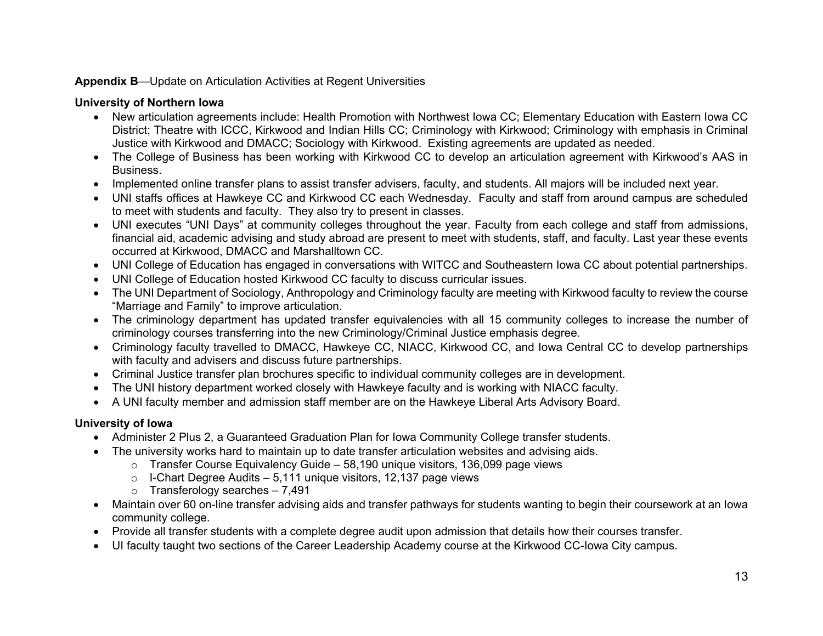#### **Appendix B**—Update on Articulation Activities at Regent Universities

## **University of Northern Iowa**

- New articulation agreements include: Health Promotion with Northwest Iowa CC; Elementary Education with Eastern Iowa CC District; Theatre with ICCC, Kirkwood and Indian Hills CC; Criminology with Kirkwood; Criminology with emphasis in Criminal Justice with Kirkwood and DMACC; Sociology with Kirkwood. Existing agreements are updated as needed.
- The College of Business has been working with Kirkwood CC to develop an articulation agreement with Kirkwood's AAS in Business.
- Implemented online transfer plans to assist transfer advisers, faculty, and students. All majors will be included next year.
- UNI staffs offices at Hawkeye CC and Kirkwood CC each Wednesday. Faculty and staff from around campus are scheduled to meet with students and faculty. They also try to present in classes.
- UNI executes "UNI Days" at community colleges throughout the year. Faculty from each college and staff from admissions, financial aid, academic advising and study abroad are present to meet with students, staff, and faculty. Last year these events occurred at Kirkwood, DMACC and Marshalltown CC.
- UNI College of Education has engaged in conversations with WITCC and Southeastern Iowa CC about potential partnerships.
- UNI College of Education hosted Kirkwood CC faculty to discuss curricular issues.
- The UNI Department of Sociology, Anthropology and Criminology faculty are meeting with Kirkwood faculty to review the course "Marriage and Family" to improve articulation.
- The criminology department has updated transfer equivalencies with all 15 community colleges to increase the number of criminology courses transferring into the new Criminology/Criminal Justice emphasis degree.
- Criminology faculty travelled to DMACC, Hawkeye CC, NIACC, Kirkwood CC, and Iowa Central CC to develop partnerships with faculty and advisers and discuss future partnerships.
- Criminal Justice transfer plan brochures specific to individual community colleges are in development.
- The UNI history department worked closely with Hawkeye faculty and is working with NIACC faculty.
- A UNI faculty member and admission staff member are on the Hawkeye Liberal Arts Advisory Board.

# **University of Iowa**

- Administer 2 Plus 2, a Guaranteed Graduation Plan for Iowa Community College transfer students.
- The university works hard to maintain up to date transfer articulation websites and advising aids.
	- o Transfer Course Equivalency Guide 58,190 unique visitors, 136,099 page views
	- $\circ$  I-Chart Degree Audits 5,111 unique visitors, 12,137 page views
	- $\circ$  Transferology searches 7,491
- Maintain over 60 on-line transfer advising aids and transfer pathways for students wanting to begin their coursework at an Iowa community college.
- Provide all transfer students with a complete degree audit upon admission that details how their courses transfer.
- UI faculty taught two sections of the Career Leadership Academy course at the Kirkwood CC-Iowa City campus.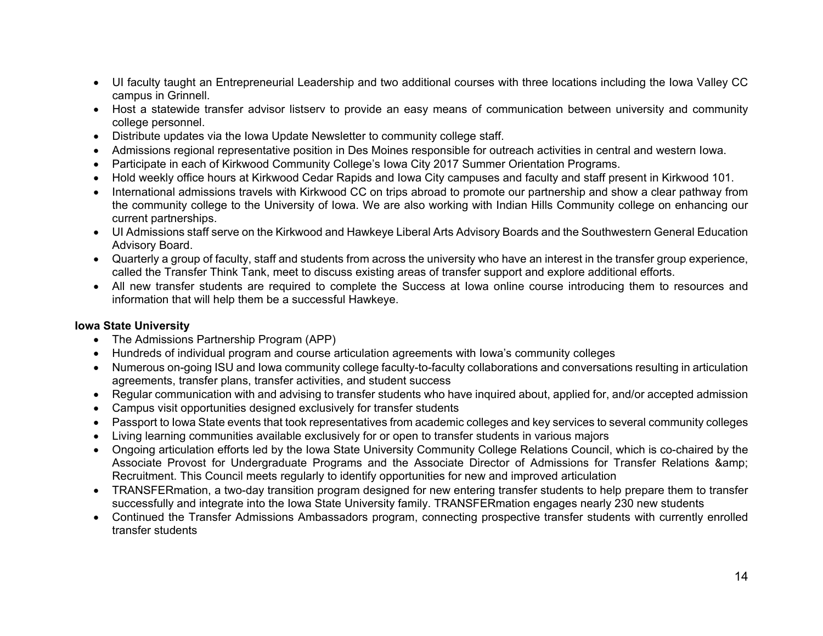- UI faculty taught an Entrepreneurial Leadership and two additional courses with three locations including the Iowa Valley CC campus in Grinnell.
- Host a statewide transfer advisor listserv to provide an easy means of communication between university and community college personnel.
- Distribute updates via the Iowa Update Newsletter to community college staff.
- Admissions regional representative position in Des Moines responsible for outreach activities in central and western Iowa.
- Participate in each of Kirkwood Community College's Iowa City 2017 Summer Orientation Programs.
- Hold weekly office hours at Kirkwood Cedar Rapids and Iowa City campuses and faculty and staff present in Kirkwood 101.
- International admissions travels with Kirkwood CC on trips abroad to promote our partnership and show a clear pathway from the community college to the University of Iowa. We are also working with Indian Hills Community college on enhancing our current partnerships.
- UI Admissions staff serve on the Kirkwood and Hawkeye Liberal Arts Advisory Boards and the Southwestern General Education Advisory Board.
- Quarterly a group of faculty, staff and students from across the university who have an interest in the transfer group experience, called the Transfer Think Tank, meet to discuss existing areas of transfer support and explore additional efforts.
- All new transfer students are required to complete the Success at Iowa online course introducing them to resources and information that will help them be a successful Hawkeye.

#### **Iowa State University**

- The Admissions Partnership Program (APP)
- Hundreds of individual program and course articulation agreements with Iowa's community colleges
- Numerous on-going ISU and Iowa community college faculty-to-faculty collaborations and conversations resulting in articulation agreements, transfer plans, transfer activities, and student success
- Regular communication with and advising to transfer students who have inquired about, applied for, and/or accepted admission
- Campus visit opportunities designed exclusively for transfer students
- Passport to Iowa State events that took representatives from academic colleges and key services to several community colleges
- Living learning communities available exclusively for or open to transfer students in various majors
- Ongoing articulation efforts led by the Iowa State University Community College Relations Council, which is co-chaired by the Associate Provost for Undergraduate Programs and the Associate Director of Admissions for Transfer Relations & Recruitment. This Council meets regularly to identify opportunities for new and improved articulation
- TRANSFERmation, a two-day transition program designed for new entering transfer students to help prepare them to transfer successfully and integrate into the Iowa State University family. TRANSFERmation engages nearly 230 new students
- Continued the Transfer Admissions Ambassadors program, connecting prospective transfer students with currently enrolled transfer students